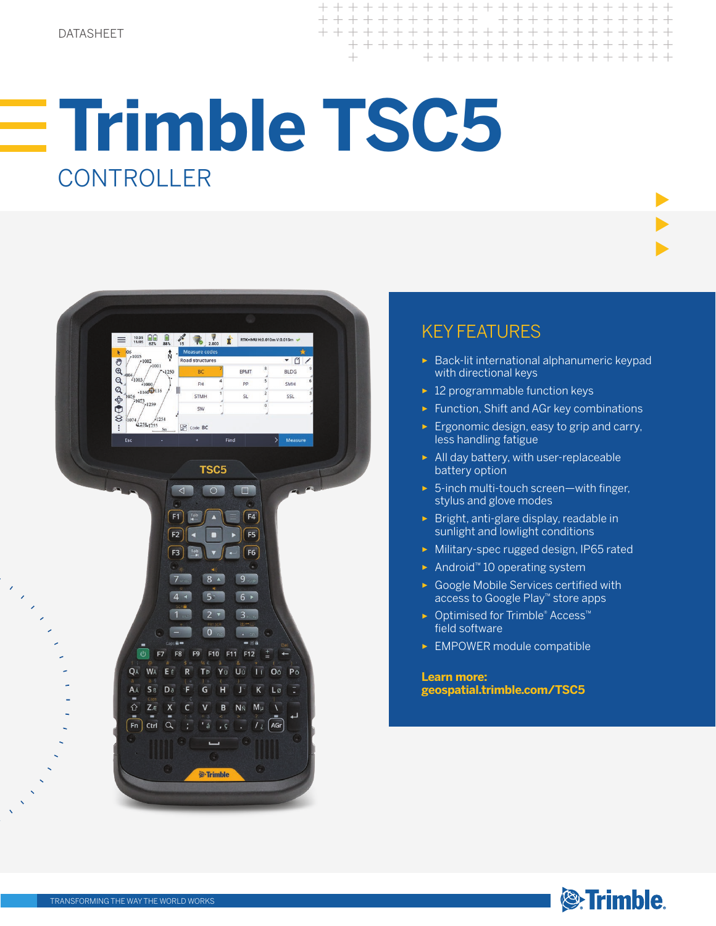# **Trimble TSC5 CONTROLLER**



## KEY FEATURES

- ► Back-lit international alphanumeric keypad with directional keys
- ► 12 programmable function keys
- ► Function, Shift and AGr key combinations
- ► Ergonomic design, easy to grip and carry, less handling fatigue
- ► All day battery, with user-replaceable battery option
- ► 5-inch multi-touch screen—with finger, stylus and glove modes
- ► Bright, anti-glare display, readable in sunlight and lowlight conditions
- ► Military-spec rugged design, IP65 rated
- ► Android™ 10 operating system
- ► Google Mobile Services certified with access to Google Play™ store apps
- ► Optimised for Trimble® Access™ field software
- ► EMPOWER module compatible

**Learn more: geospatial.trimble.com/TSC5**